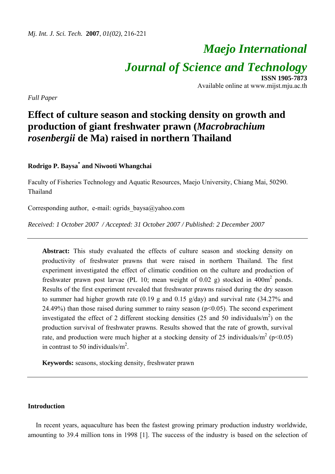# *Maejo International Journal of Science and Technology* **ISSN 1905-7873**

Available online at www.mijst.mju.ac.th

*Full Paper* 

## **Effect of culture season and stocking density on growth and production of giant freshwater prawn (***Macrobrachium rosenbergii* **de Ma) raised in northern Thailand**

## **Rodrigo P. Baysa\* and Niwooti Whangchai**

Faculty of Fisheries Technology and Aquatic Resources, Maejo University, Chiang Mai, 50290. Thailand

Corresponding author, e-mail: ogrids  $b$ aysa $@$ yahoo.com

*Received: 1 October 2007 / Accepted: 31 October 2007 / Published: 2 December 2007* 

Abstract: This study evaluated the effects of culture season and stocking density on productivity of freshwater prawns that were raised in northern Thailand. The first experiment investigated the effect of climatic condition on the culture and production of freshwater prawn post larvae (PL 10; mean weight of 0.02 g) stocked in  $400m^2$  ponds. Results of the first experiment revealed that freshwater prawns raised during the dry season to summer had higher growth rate (0.19 g and 0.15 g/day) and survival rate (34.27% and 24.49%) than those raised during summer to rainy season  $(p<0.05)$ . The second experiment investigated the effect of 2 different stocking densities (25 and 50 individuals/ $m<sup>2</sup>$ ) on the production survival of freshwater prawns. Results showed that the rate of growth, survival rate, and production were much higher at a stocking density of 25 individuals/ $m^2$  (p<0.05) in contrast to 50 individuals/ $m^2$ .

**Keywords:** seasons, stocking density, freshwater prawn

### **Introduction**

In recent years, aquaculture has been the fastest growing primary production industry worldwide, amounting to 39.4 million tons in 1998 [1]. The success of the industry is based on the selection of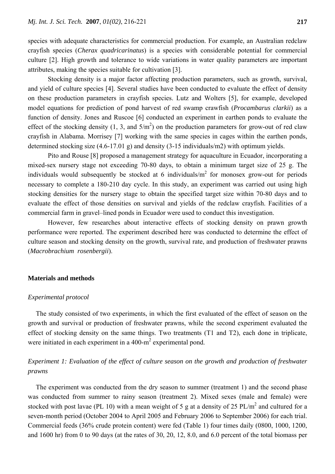species with adequate characteristics for commercial production. For example, an Australian redclaw crayfish species (*Cherax quadricarinatus*) is a species with considerable potential for commercial culture [2]. High growth and tolerance to wide variations in water quality parameters are important attributes, making the species suitable for cultivation [3].

 Stocking density is a major factor affecting production parameters, such as growth, survival, and yield of culture species [4]. Several studies have been conducted to evaluate the effect of density on these production parameters in crayfish species. Lutz and Wolters [5], for example, developed model equations for prediction of pond harvest of red swamp crawfish (*Procambarus clarkii*) as a function of density. Jones and Ruscoe [6] conducted an experiment in earthen ponds to evaluate the effect of the stocking density  $(1, 3, \text{ and } 5/m^2)$  on the production parameters for grow-out of red claw crayfish in Alabama. Morrisey [7] working with the same species in cages within the earthen ponds, determined stocking size (4.6-17.01 g) and density (3-15 individuals/m2) with optimum yields.

 Pito and Rouse [8] proposed a management strategy for aquaculture in Ecuador, incorporating a mixed-sex nursery stage not exceeding 70-80 days, to obtain a minimum target size of 25 g. The individuals would subsequently be stocked at 6 individuals/ $m^2$  for monosex grow-out for periods necessary to complete a 180-210 day cycle. In this study, an experiment was carried out using high stocking densities for the nursery stage to obtain the specified target size within 70-80 days and to evaluate the effect of those densities on survival and yields of the redclaw crayfish. Facilities of a commercial farm in gravel–lined ponds in Ecuador were used to conduct this investigation.

However, few researches about interactive effects of stocking density on prawn growth performance were reported. The experiment described here was conducted to determine the effect of culture season and stocking density on the growth, survival rate, and production of freshwater prawns (*Macrobrachium rosenbergii*).

#### **Materials and methods**

#### *Experimental protocol*

The study consisted of two experiments, in which the first evaluated of the effect of season on the growth and survival or production of freshwater prawns, while the second experiment evaluated the effect of stocking density on the same things. Two treatments (T1 and T2), each done in triplicate, were initiated in each experiment in a  $400 \text{--} m^2$  experimental pond.

## *Experiment 1: Evaluation of the effect of culture season on the growth and production of freshwater prawns*

The experiment was conducted from the dry season to summer (treatment 1) and the second phase was conducted from summer to rainy season (treatment 2). Mixed sexes (male and female) were stocked with post lavae (PL 10) with a mean weight of 5 g at a density of 25  $PL/m^2$  and cultured for a seven-month period (October 2004 to April 2005 and February 2006 to September 2006) for each trial. Commercial feeds (36% crude protein content) were fed (Table 1) four times daily (0800, 1000, 1200, and 1600 hr) from 0 to 90 days (at the rates of 30, 20, 12, 8.0, and 6.0 percent of the total biomass per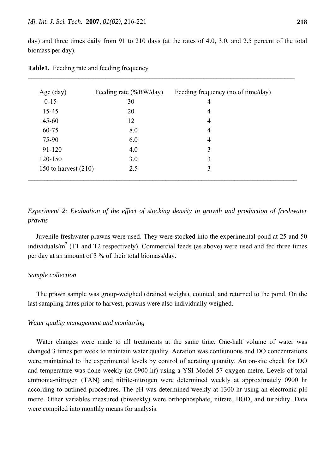day) and three times daily from 91 to 210 days (at the rates of 4.0, 3.0, and 2.5 percent of the total biomass per day).

| Age (day)              | Feeding rate $(\%BW/day)$ | Feeding frequency (no.of time/day) |
|------------------------|---------------------------|------------------------------------|
| $0 - 15$               | 30                        | 4                                  |
| 15-45                  | 20                        | 4                                  |
| $45 - 60$              | 12                        | 4                                  |
| $60 - 75$              | 8.0                       | 4                                  |
| 75-90                  | 6.0                       | 4                                  |
| 91-120                 | 4.0                       | 3                                  |
| 120-150                | 3.0                       | 3                                  |
| 150 to harvest $(210)$ | 2.5                       | 3                                  |
|                        |                           |                                    |

*\_\_\_\_\_\_\_\_\_\_\_\_\_\_\_\_\_\_\_\_\_\_\_\_\_\_\_\_\_\_\_\_\_\_\_\_\_\_\_\_\_\_\_\_\_\_\_\_\_\_\_\_\_\_\_\_\_\_\_\_\_\_\_\_\_\_\_\_\_\_\_\_\_\_\_\_\_\_\_*

**Table1.** Feeding rate and feeding frequency

*Experiment 2: Evaluation of the effect of stocking density in growth and production of freshwater prawns* 

Juvenile freshwater prawns were used. They were stocked into the experimental pond at 25 and 50 individuals/ $m<sup>2</sup>$  (T1 and T2 respectively). Commercial feeds (as above) were used and fed three times per day at an amount of 3 % of their total biomass/day.

#### *Sample collection*

The prawn sample was group-weighed (drained weight), counted, and returned to the pond. On the last sampling dates prior to harvest, prawns were also individually weighed.

#### *Water quality management and monitoring*

 Water changes were made to all treatments at the same time. One-half volume of water was changed 3 times per week to maintain water quality. Aeration was contiunuous and DO concentrations were maintained to the experimental levels by control of aerating quantity. An on-site check for DO and temperature was done weekly (at 0900 hr) using a YSI Model 57 oxygen metre. Levels of total ammonia-nitrogen (TAN) and nitrite-nitrogen were determined weekly at approximately 0900 hr according to outlined procedures. The pH was determined weekly at 1300 hr using an electronic pH metre. Other variables measured (biweekly) were orthophosphate, nitrate, BOD, and turbidity. Data were compiled into monthly means for analysis.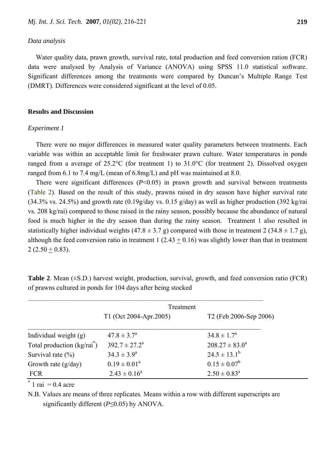#### *Data analysis*

Water quality data, prawn growth, survival rate, total production and feed conversion ration (FCR) data were analysed by Analysis of Variance (ANOVA) using SPSS 11.0 statistical software. Significant differences among the treatments were compared by Duncan's Multiple Range Test (DMRT). Differences were considered significant at the level of 0.05.

#### **Results and Discussion**

#### *Experiment 1*

There were no major differences in measured water quality parameters between treatments. Each variable was within an acceptable limit for freshwater prawn culture. Water temperatures in ponds ranged from a average of 25.2°C (for treatment 1) to 31.0°C (for treatment 2). Dissolved oxygen ranged from 6.1 to 7.4 mg/L (mean of 6.8mg/L) and pH was maintained at 8.0.

There were significant differences (*P*<0.05) in prawn growth and survival between treatments (Table 2). Based on the result of this study, prawns raised in dry season have higher survival rate  $(34.3\% \text{ vs. } 24.5\%)$  and growth rate  $(0.19g/day \text{ vs. } 0.15 g/day)$  as well as higher production  $(392 \text{ kg/rai})$ vs. 208 kg/rai) compared to those raised in the rainy season, possibly because the abundance of natural food is much higher in the dry season than during the rainy season. Treatment 1 also resulted in statistically higher individual weights  $(47.8 \pm 3.7 \text{ g})$  compared with those in treatment 2  $(34.8 \pm 1.7 \text{ g})$ , although the feed conversion ratio in treatment 1 (2.43  $\pm$  0.16) was slightly lower than that in treatment  $2(2.50 + 0.83)$ .

|                                     |                          | Treatment                          |  |
|-------------------------------------|--------------------------|------------------------------------|--|
|                                     | T1 (Oct 2004-Apr.2005)   | T <sub>2</sub> (Feb 2006-Sep 2006) |  |
| Individual weight (g)               | $47.8 \pm 3.7^{\circ}$   | $34.8 \pm 1.7^{\circ}$             |  |
| Total production $\frac{kg}{rai^*}$ | $392.7 \pm 27.2^{\circ}$ | $208.27 \pm 83.0^a$                |  |
| Survival rate $(\% )$               | $34.3 \pm 3.9^{\circ}$   | $24.5 \pm 13.1^b$                  |  |
| Growth rate $(g/day)$               | $0.19 \pm 0.01^a$        | $0.15 \pm 0.07^b$                  |  |
| <b>FCR</b>                          | $2.43 \pm 0.16^a$        | $2.50 \pm 0.83^{\text{a}}$         |  |

**Table 2**. Mean (±S.D.) harvest weight, production, survival, growth, and feed conversion ratio (FCR) of prawns cultured in ponds for 104 days after being stocked

\* 1 rai =  $0.4$  acre

N.B. Values are means of three replicates. Means within a row with different superscripts are significantly different (*P*≤0.05) by ANOVA.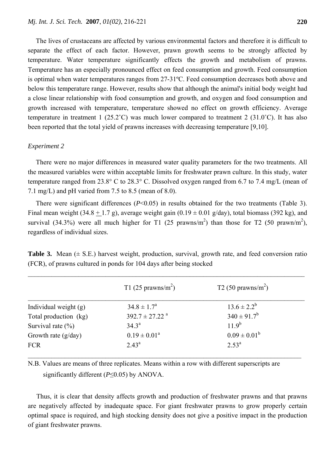The lives of crustaceans are affected by various environmental factors and therefore it is difficult to separate the effect of each factor. However, prawn growth seems to be strongly affected by temperature. Water temperature significantly effects the growth and metabolism of prawns. Temperature has an especially pronounced effect on feed consumption and growth. Feed consumption is optimal when water temperatures ranges from 27-31ºC. Feed consumption decreases both above and below this temperature range. However, results show that although the animal's initial body weight had a close linear relationship with food consumption and growth, and oxygen and food consumption and growth increased with temperature, temperature showed no effect on growth efficiency. Average temperature in treatment 1 (25.2°C) was much lower compared to treatment 2 (31.0°C). It has also been reported that the total yield of prawns increases with decreasing temperature [9,10].

#### *Experiment 2*

There were no major differences in measured water quality parameters for the two treatments. All the measured variables were within acceptable limits for freshwater prawn culture. In this study, water temperature ranged from 23.8° C to 28.3° C. Dissolved oxygen ranged from 6.7 to 7.4 mg/L (mean of 7.1 mg/L) and pH varied from 7.5 to 8.5 (mean of 8.0).

There were significant differences (*P*<0.05) in results obtained for the two treatments (Table 3). Final mean weight (34.8 + 1.7 g), average weight gain (0.19  $\pm$  0.01 g/day), total biomass (392 kg), and survival (34.3%) were all much higher for T1 (25 prawns/m<sup>2</sup>) than those for T2 (50 prawn/m<sup>2</sup>), regardless of individual sizes.

**Table 3.** Mean  $(\pm S.E.)$  harvest weight, production, survival, growth rate, and feed conversion ratio (FCR), of prawns cultured in ponds for 104 days after being stocked

|                         | T1 (25 prawns/ $m2$ )          | T <sub>2</sub> (50 prawns/m <sup>2</sup> ) |
|-------------------------|--------------------------------|--------------------------------------------|
| Individual weight $(g)$ | $34.8 \pm 1.7^{\circ}$         | $13.6 \pm 2.2^b$                           |
| Total production (kg)   | $392.7 \pm 27.22$ <sup>a</sup> | $340 \pm 91.7^b$                           |
| Survival rate $(\% )$   | $34.3^{\circ}$                 | $11.9^{b}$                                 |
| Growth rate $(g/day)$   | $0.19 \pm 0.01^a$              | $0.09 \pm 0.01^b$                          |
| <b>FCR</b>              | $2.43^{\circ}$                 | $2.53^{\rm a}$                             |

N.B. Values are means of three replicates. Means within a row with different superscripts are significantly different (*P*≤0.05) by ANOVA.

 Thus, it is clear that density affects growth and production of freshwater prawns and that prawns are negatively affected by inadequate space. For giant freshwater prawns to grow properly certain optimal space is required, and high stocking density does not give a positive impact in the production of giant freshwater prawns.